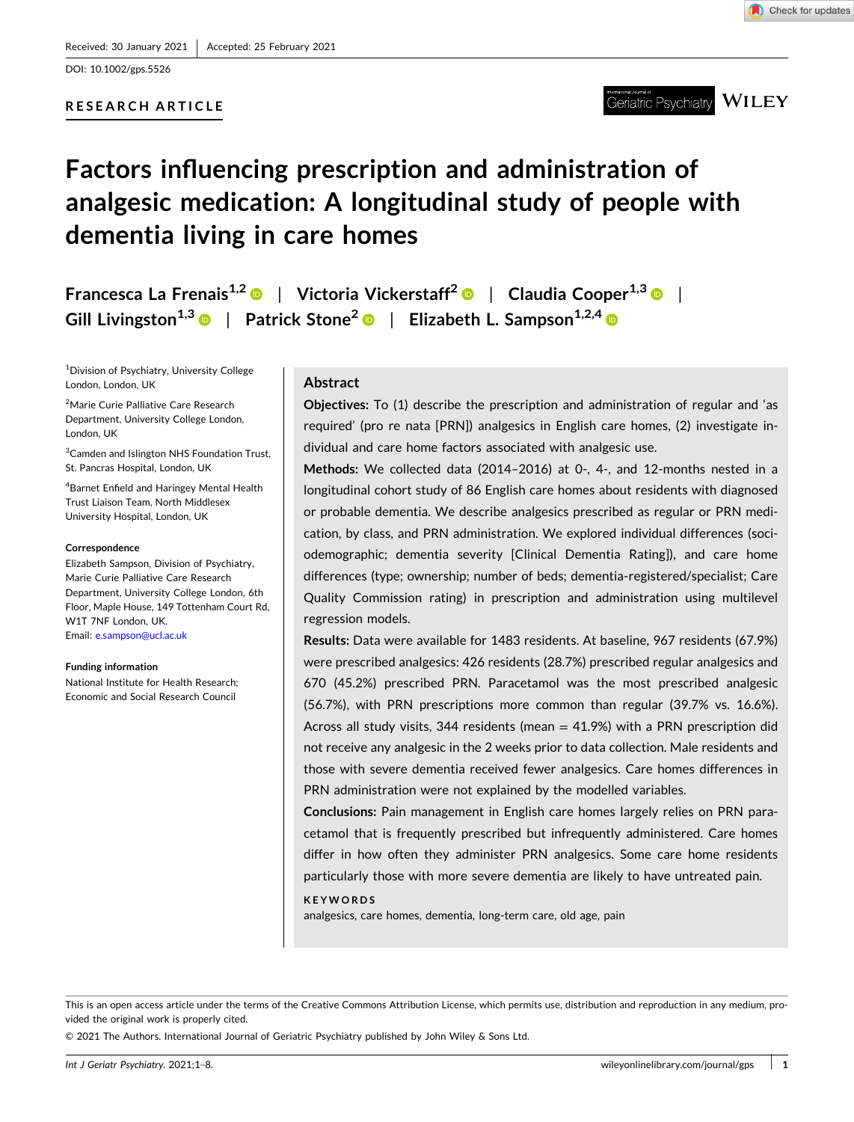DOI: [10.1002/gps.5526](https://doi.org/10.1002/gps.5526)

## **RESEARCH ARTICLE**



#### **WILEY** Geriatric Psychiatry

# **Factors influencing prescription and administration of analgesic medication: A longitudinal study of people with dementia living in care homes**

**Francesca La Frenais<sup>1,2</sup> © | Victoria Vickerstaff<sup>2</sup> © | Claudia Cooper<sup>1,3</sup> © | Gill Livingston1,3** | **Patrick Stone2** | **Elizabeth L. Sampson1,2,4**

1 Division of Psychiatry, University College London, London, UK

2 Marie Curie Palliative Care Research Department, University College London, London, UK

<sup>3</sup> Camden and Islington NHS Foundation Trust, St. Pancras Hospital, London, UK

4 Barnet Enfield and Haringey Mental Health Trust Liaison Team, North Middlesex University Hospital, London, UK

#### **Correspondence**

Elizabeth Sampson, Division of Psychiatry, Marie Curie Palliative Care Research Department, University College London, 6th Floor, Maple House, 149 Tottenham Court Rd, W1T 7NF London, UK. Email: [e.sampson@ucl.ac.uk](mailto:e.sampson@ucl.ac.uk)

#### **Funding information**

National Institute for Health Research; Economic and Social Research Council

# **Abstract**

**Objectives:** To (1) describe the prescription and administration of regular and 'as required' (pro re nata [PRN]) analgesics in English care homes, (2) investigate individual and care home factors associated with analgesic use.

**Methods:** We collected data (2014–2016) at 0‐, 4‐, and 12‐months nested in a longitudinal cohort study of 86 English care homes about residents with diagnosed or probable dementia. We describe analgesics prescribed as regular or PRN medication, by class, and PRN administration. We explored individual differences (sociodemographic; dementia severity [Clinical Dementia Rating]), and care home differences (type; ownership; number of beds; dementia‐registered/specialist; Care Quality Commission rating) in prescription and administration using multilevel regression models.

**Results:** Data were available for 1483 residents. At baseline, 967 residents (67.9%) were prescribed analgesics: 426 residents (28.7%) prescribed regular analgesics and 670 (45.2%) prescribed PRN. Paracetamol was the most prescribed analgesic (56.7%), with PRN prescriptions more common than regular (39.7% vs. 16.6%). Across all study visits, 344 residents (mean  $= 41.9%$ ) with a PRN prescription did not receive any analgesic in the 2 weeks prior to data collection. Male residents and those with severe dementia received fewer analgesics. Care homes differences in PRN administration were not explained by the modelled variables.

**Conclusions:** Pain management in English care homes largely relies on PRN paracetamol that is frequently prescribed but infrequently administered. Care homes differ in how often they administer PRN analgesics. Some care home residents particularly those with more severe dementia are likely to have untreated pain.

#### **KEYWORDS**

analgesics, care homes, dementia, long‐term care, old age, pain

© 2021 The Authors. International Journal of Geriatric Psychiatry published by John Wiley & Sons Ltd.

This is an open access article under the terms of the Creative Commons Attribution License, which permits use, distribution and reproduction in any medium, provided the original work is properly cited.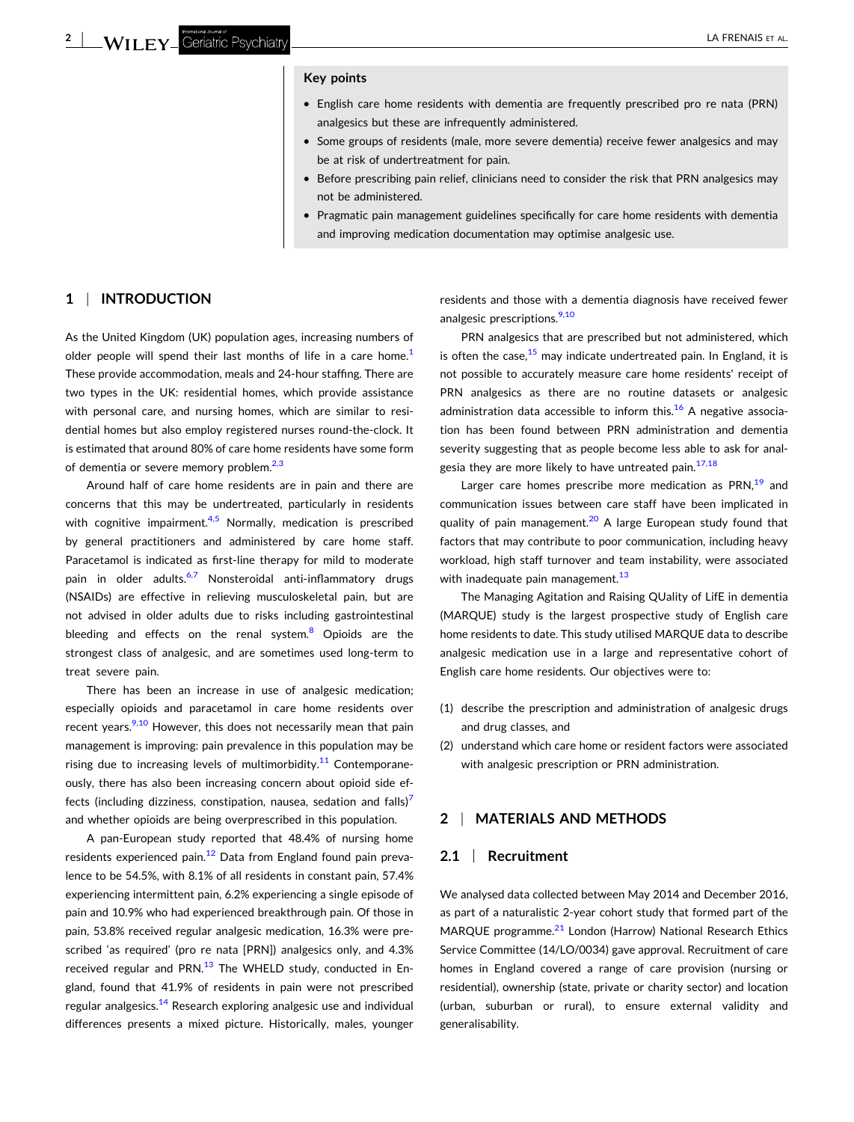#### **Key points**

- � English care home residents with dementia are frequently prescribed pro re nata (PRN) analgesics but these are infrequently administered.
- � Some groups of residents (male, more severe dementia) receive fewer analgesics and may be at risk of undertreatment for pain.
- � Before prescribing pain relief, clinicians need to consider the risk that PRN analgesics may not be administered.
- � Pragmatic pain management guidelines specifically for care home residents with dementia and improving medication documentation may optimise analgesic use.

#### **1** <sup>|</sup> **INTRODUCTION**

As the United Kingdom (UK) population ages, increasing numbers of older people will spend their last months of life in a care home.<sup>[1](#page-6-0)</sup> These provide accommodation, meals and 24‐hour staffing. There are two types in the UK: residential homes, which provide assistance with personal care, and nursing homes, which are similar to residential homes but also employ registered nurses round‐the‐clock. It is estimated that around 80% of care home residents have some form of dementia or severe memory problem. $2,3$ 

Around half of care home residents are in pain and there are concerns that this may be undertreated, particularly in residents with cognitive impairment. $4.5$  Normally, medication is prescribed by general practitioners and administered by care home staff. Paracetamol is indicated as first‐line therapy for mild to moderate pain in older adults.<sup>[6,7](#page-6-0)</sup> Nonsteroidal anti-inflammatory drugs (NSAIDs) are effective in relieving musculoskeletal pain, but are not advised in older adults due to risks including gastrointestinal bleeding and effects on the renal system. $8$  Opioids are the strongest class of analgesic, and are sometimes used long‐term to treat severe pain.

There has been an increase in use of analgesic medication; especially opioids and paracetamol in care home residents over recent years.<sup>[9,10](#page-6-0)</sup> However, this does not necessarily mean that pain management is improving: pain prevalence in this population may be rising due to increasing levels of multimorbidity.<sup>[11](#page-6-0)</sup> Contemporaneously, there has also been increasing concern about opioid side effects (including dizziness, constipation, nausea, sedation and falls) $<sup>7</sup>$  $<sup>7</sup>$  $<sup>7</sup>$ </sup> and whether opioids are being overprescribed in this population.

A pan‐European study reported that 48.4% of nursing home residents experienced pain.<sup>[12](#page-6-0)</sup> Data from England found pain prevalence to be 54.5%, with 8.1% of all residents in constant pain, 57.4% experiencing intermittent pain, 6.2% experiencing a single episode of pain and 10.9% who had experienced breakthrough pain. Of those in pain, 53.8% received regular analgesic medication, 16.3% were prescribed 'as required' (pro re nata [PRN]) analgesics only, and 4.3% received regular and PRN. $13$  The WHELD study, conducted in England, found that 41.9% of residents in pain were not prescribed regular analgesics.<sup>14</sup> Research exploring analgesic use and individual differences presents a mixed picture. Historically, males, younger

residents and those with a dementia diagnosis have received fewer analgesic prescriptions.<sup>9,10</sup>

PRN analgesics that are prescribed but not administered, which is often the case. $15$  may indicate undertreated pain. In England, it is not possible to accurately measure care home residents' receipt of PRN analgesics as there are no routine datasets or analgesic administration data accessible to inform this.<sup>[16](#page-6-0)</sup> A negative association has been found between PRN administration and dementia severity suggesting that as people become less able to ask for analgesia they are more likely to have untreated pain. $17,18$ 

Larger care homes prescribe more medication as PRN, $19$  and communication issues between care staff have been implicated in quality of pain management.<sup>[20](#page-6-0)</sup> A large European study found that factors that may contribute to poor communication, including heavy workload, high staff turnover and team instability, were associated with inadequate pain management. $13$ 

The Managing Agitation and Raising QUality of LifE in dementia (MARQUE) study is the largest prospective study of English care home residents to date. This study utilised MARQUE data to describe analgesic medication use in a large and representative cohort of English care home residents. Our objectives were to:

- (1) describe the prescription and administration of analgesic drugs and drug classes, and
- (2) understand which care home or resident factors were associated with analgesic prescription or PRN administration.

## **2** <sup>|</sup> **MATERIALS AND METHODS**

## **2.1** <sup>|</sup> **Recruitment**

We analysed data collected between May 2014 and December 2016, as part of a naturalistic 2‐year cohort study that formed part of the MARQUE programme.<sup>[21](#page-6-0)</sup> London (Harrow) National Research Ethics Service Committee (14/LO/0034) gave approval. Recruitment of care homes in England covered a range of care provision (nursing or residential), ownership (state, private or charity sector) and location (urban, suburban or rural), to ensure external validity and generalisability.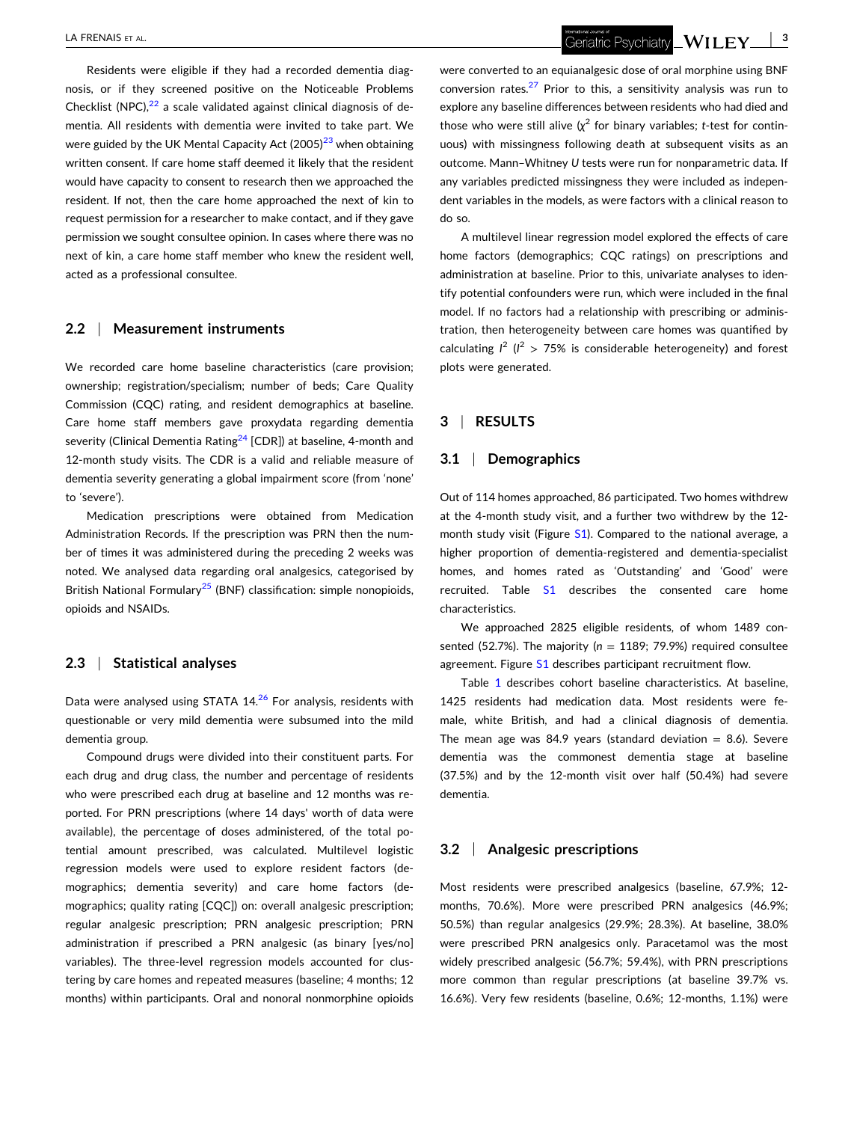Residents were eligible if they had a recorded dementia diagnosis, or if they screened positive on the Noticeable Problems Checklist (NPC), $^{22}$  $^{22}$  $^{22}$  a scale validated against clinical diagnosis of dementia. All residents with dementia were invited to take part. We were guided by the UK Mental Capacity Act  $(2005)^{23}$  when obtaining written consent. If care home staff deemed it likely that the resident would have capacity to consent to research then we approached the resident. If not, then the care home approached the next of kin to request permission for a researcher to make contact, and if they gave permission we sought consultee opinion. In cases where there was no next of kin, a care home staff member who knew the resident well, acted as a professional consultee.

#### **2.2** <sup>|</sup> **Measurement instruments**

We recorded care home baseline characteristics (care provision; ownership; registration/specialism; number of beds; Care Quality Commission (CQC) rating, and resident demographics at baseline. Care home staff members gave proxydata regarding dementia severity (Clinical Dementia Rating $24$  [CDR]) at baseline, 4-month and 12-month study visits. The CDR is a valid and reliable measure of dementia severity generating a global impairment score (from 'none' to 'severe').

Medication prescriptions were obtained from Medication Administration Records. If the prescription was PRN then the number of times it was administered during the preceding 2 weeks was noted. We analysed data regarding oral analgesics, categorised by British National Formulary<sup>[25](#page-6-0)</sup> (BNF) classification: simple nonopioids, opioids and NSAIDs.

## **2.3** <sup>|</sup> **Statistical analyses**

Data were analysed using STATA  $14<sup>26</sup>$  $14<sup>26</sup>$  $14<sup>26</sup>$  For analysis, residents with questionable or very mild dementia were subsumed into the mild dementia group.

Compound drugs were divided into their constituent parts. For each drug and drug class, the number and percentage of residents who were prescribed each drug at baseline and 12 months was reported. For PRN prescriptions (where 14 days' worth of data were available), the percentage of doses administered, of the total potential amount prescribed, was calculated. Multilevel logistic regression models were used to explore resident factors (demographics; dementia severity) and care home factors (demographics; quality rating [CQC]) on: overall analgesic prescription; regular analgesic prescription; PRN analgesic prescription; PRN administration if prescribed a PRN analgesic (as binary [yes/no] variables). The three‐level regression models accounted for clustering by care homes and repeated measures (baseline; 4 months; 12 months) within participants. Oral and nonoral nonmorphine opioids

were converted to an equianalgesic dose of oral morphine using BNF conversion rates. $27$  Prior to this, a sensitivity analysis was run to explore any baseline differences between residents who had died and those who were still alive (*χ* <sup>2</sup> for binary variables; *t*‐test for continuous) with missingness following death at subsequent visits as an outcome. Mann–Whitney *U* tests were run for nonparametric data. If any variables predicted missingness they were included as independent variables in the models, as were factors with a clinical reason to do so.

A multilevel linear regression model explored the effects of care home factors (demographics; CQC ratings) on prescriptions and administration at baseline. Prior to this, univariate analyses to identify potential confounders were run, which were included in the final model. If no factors had a relationship with prescribing or administration, then heterogeneity between care homes was quantified by calculating  $I^2$  ( $I^2$  > 75% is considerable heterogeneity) and forest plots were generated.

#### **3** <sup>|</sup> **RESULTS**

#### **3.1** <sup>|</sup> **Demographics**

Out of 114 homes approached, 86 participated. Two homes withdrew at the 4‐month study visit, and a further two withdrew by the 12‐ month study visit (Figure S1). Compared to the national average, a higher proportion of dementia‐registered and dementia‐specialist homes, and homes rated as 'Outstanding' and 'Good' were recruited. Table S1 describes the consented care home characteristics.

We approached 2825 eligible residents, of whom 1489 consented (52.7%). The majority (*n* = 1189; 79.9%) required consultee agreement. Figure S1 describes participant recruitment flow.

Table [1](#page-3-0) describes cohort baseline characteristics. At baseline, 1425 residents had medication data. Most residents were female, white British, and had a clinical diagnosis of dementia. The mean age was 84.9 years (standard deviation  $= 8.6$ ). Severe dementia was the commonest dementia stage at baseline (37.5%) and by the 12‐month visit over half (50.4%) had severe dementia.

## **3.2** <sup>|</sup> **Analgesic prescriptions**

Most residents were prescribed analgesics (baseline, 67.9%; 12‐ months, 70.6%). More were prescribed PRN analgesics (46.9%; 50.5%) than regular analgesics (29.9%; 28.3%). At baseline, 38.0% were prescribed PRN analgesics only. Paracetamol was the most widely prescribed analgesic (56.7%; 59.4%), with PRN prescriptions more common than regular prescriptions (at baseline 39.7% vs. 16.6%). Very few residents (baseline, 0.6%; 12‐months, 1.1%) were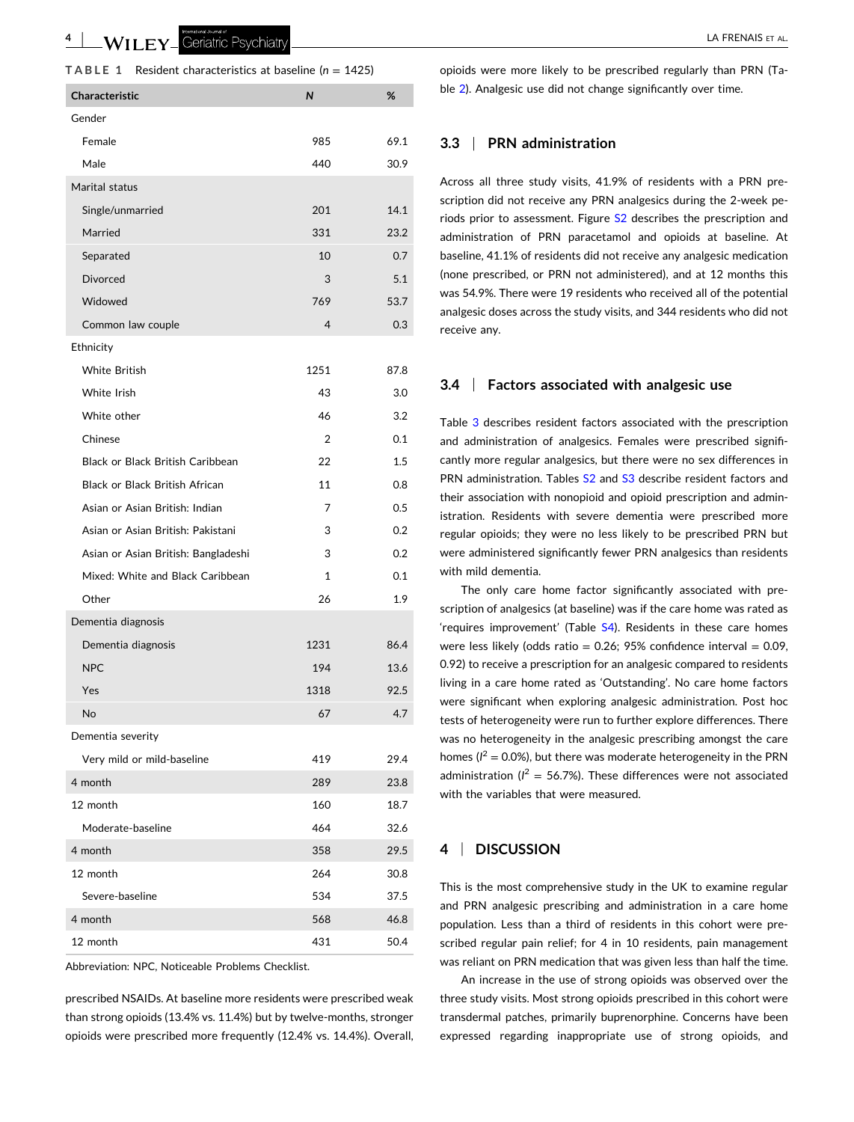<span id="page-3-0"></span>**4** | WII FY Geriatric Psychiatry **All and Structure Control** Control of the UA FRENAIS ET AL.

|  | TABLE 1 |  |  | Resident characteristics at baseline ( $n = 1425$ ) |  |  |  |  |
|--|---------|--|--|-----------------------------------------------------|--|--|--|--|
|--|---------|--|--|-----------------------------------------------------|--|--|--|--|

| <b>Characteristic</b>                 | N              | %    |  |  |
|---------------------------------------|----------------|------|--|--|
| Gender                                |                |      |  |  |
| Female                                | 985            | 69.1 |  |  |
| Male                                  | 440            | 30.9 |  |  |
| Marital status                        |                |      |  |  |
| Single/unmarried                      | 201            | 14.1 |  |  |
| Married                               | 331            | 23.2 |  |  |
| Separated                             | 10             | 0.7  |  |  |
| <b>Divorced</b>                       | 3              | 5.1  |  |  |
| Widowed                               | 769            | 53.7 |  |  |
| Common law couple                     | 4              | 0.3  |  |  |
| Ethnicity                             |                |      |  |  |
| <b>White British</b>                  | 1251           | 87.8 |  |  |
| White Irish                           | 43             | 3.0  |  |  |
| White other                           | 46             | 3.2  |  |  |
| Chinese                               | $\overline{2}$ | 0.1  |  |  |
| Black or Black British Caribbean      | 22             | 1.5  |  |  |
| <b>Black or Black British African</b> | 11             | 0.8  |  |  |
| Asian or Asian British: Indian        | 7              | 0.5  |  |  |
| Asian or Asian British: Pakistani     | 3              | 0.2  |  |  |
| Asian or Asian British: Bangladeshi   | 3              | 0.2  |  |  |
| Mixed: White and Black Caribbean      | 1              | 0.1  |  |  |
| Other                                 | 26             | 1.9  |  |  |
| Dementia diagnosis                    |                |      |  |  |
| Dementia diagnosis                    | 1231           | 86.4 |  |  |
| <b>NPC</b>                            | 194            | 13.6 |  |  |
| Yes                                   | 1318           | 92.5 |  |  |
| No                                    | 67             | 4.7  |  |  |
| Dementia severity                     |                |      |  |  |
| Very mild or mild-baseline            | 419            | 29.4 |  |  |
| 4 month                               | 289            | 23.8 |  |  |
| 12 month                              | 160            | 18.7 |  |  |
| Moderate-baseline                     | 464            | 32.6 |  |  |
| 4 month                               | 358            | 29.5 |  |  |
| 12 month                              | 264            | 30.8 |  |  |
| Severe-baseline                       | 534            | 37.5 |  |  |
| 4 month                               | 568            | 46.8 |  |  |
| 12 month                              | 431            | 50.4 |  |  |

Abbreviation: NPC, Noticeable Problems Checklist.

prescribed NSAIDs. At baseline more residents were prescribed weak than strong opioids (13.4% vs. 11.4%) but by twelve‐months, stronger opioids were prescribed more frequently (12.4% vs. 14.4%). Overall, opioids were more likely to be prescribed regularly than PRN (Table [2\)](#page-4-0). Analgesic use did not change significantly over time.

## **3.3** <sup>|</sup> **PRN administration**

Across all three study visits, 41.9% of residents with a PRN prescription did not receive any PRN analgesics during the 2‐week periods prior to assessment. Figure S2 describes the prescription and administration of PRN paracetamol and opioids at baseline. At baseline, 41.1% of residents did not receive any analgesic medication (none prescribed, or PRN not administered), and at 12 months this was 54.9%. There were 19 residents who received all of the potential analgesic doses across the study visits, and 344 residents who did not receive any.

#### **3.4** <sup>|</sup> **Factors associated with analgesic use**

Table [3](#page-4-0) describes resident factors associated with the prescription and administration of analgesics. Females were prescribed significantly more regular analgesics, but there were no sex differences in PRN administration. Tables S<sub>2</sub> and S<sub>3</sub> describe resident factors and their association with nonopioid and opioid prescription and administration. Residents with severe dementia were prescribed more regular opioids; they were no less likely to be prescribed PRN but were administered significantly fewer PRN analgesics than residents with mild dementia.

The only care home factor significantly associated with prescription of analgesics (at baseline) was if the care home was rated as 'requires improvement' (Table S4). Residents in these care homes were less likely (odds ratio =  $0.26$ ;  $95%$  confidence interval =  $0.09$ , 0.92) to receive a prescription for an analgesic compared to residents living in a care home rated as 'Outstanding'. No care home factors were significant when exploring analgesic administration. Post hoc tests of heterogeneity were run to further explore differences. There was no heterogeneity in the analgesic prescribing amongst the care homes  $(I^2 = 0.0\%)$ , but there was moderate heterogeneity in the PRN administration ( $I^2 = 56.7\%$ ). These differences were not associated with the variables that were measured.

## **4** <sup>|</sup> **DISCUSSION**

This is the most comprehensive study in the UK to examine regular and PRN analgesic prescribing and administration in a care home population. Less than a third of residents in this cohort were prescribed regular pain relief; for 4 in 10 residents, pain management was reliant on PRN medication that was given less than half the time.

An increase in the use of strong opioids was observed over the three study visits. Most strong opioids prescribed in this cohort were transdermal patches, primarily buprenorphine. Concerns have been expressed regarding inappropriate use of strong opioids, and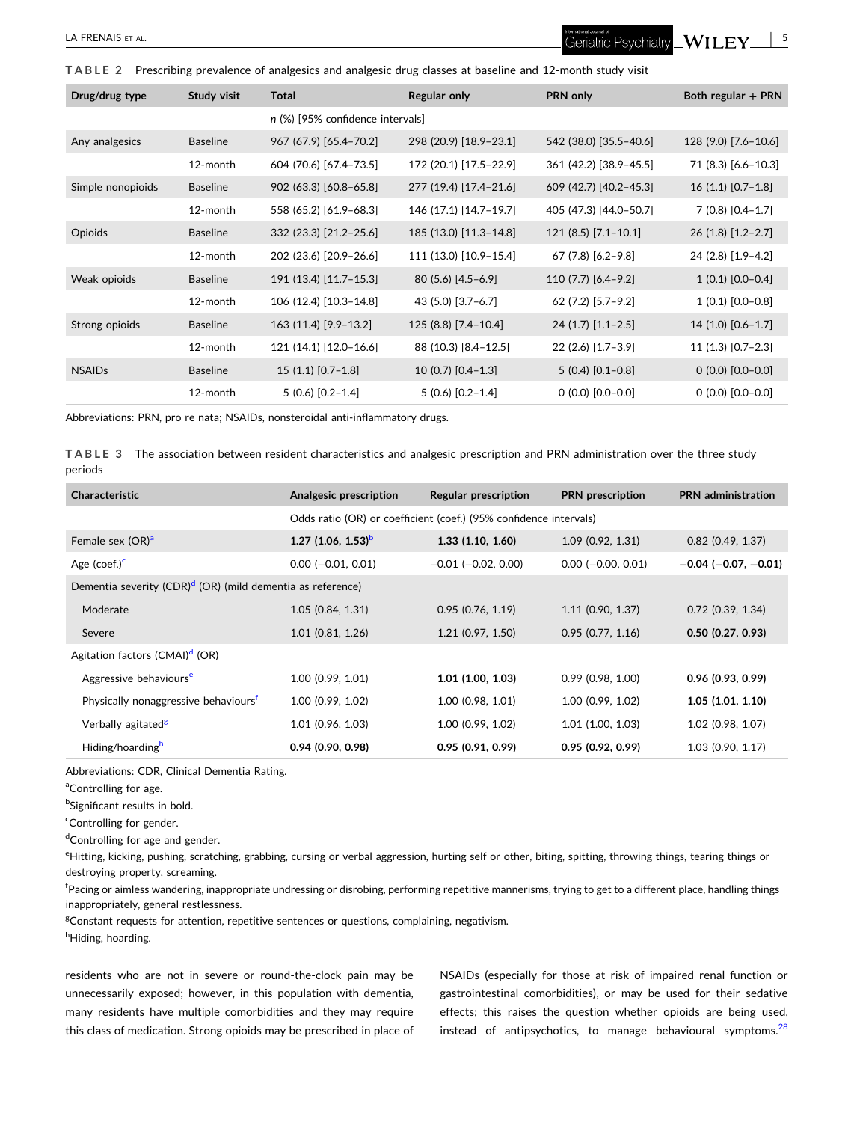<span id="page-4-0"></span>**TABLE 2** Prescribing prevalence of analgesics and analgesic drug classes at baseline and 12‐month study visit

| Drug/drug type    | Study visit     | <b>Total</b>                     | <b>Regular only</b>    | PRN only               | Both regular + PRN   |
|-------------------|-----------------|----------------------------------|------------------------|------------------------|----------------------|
|                   |                 | n (%) [95% confidence intervals] |                        |                        |                      |
| Any analgesics    | <b>Baseline</b> | 967 (67.9) [65.4-70.2]           | 298 (20.9) [18.9-23.1] | 542 (38.0) [35.5-40.6] | 128 (9.0) [7.6-10.6] |
|                   | 12-month        | 604 (70.6) [67.4-73.5]           | 172 (20.1) [17.5-22.9] | 361 (42.2) [38.9-45.5] | 71 (8.3) [6.6-10.3]  |
| Simple nonopioids | <b>Baseline</b> | 902 (63.3) [60.8-65.8]           | 277 (19.4) [17.4-21.6] | 609 (42.7) [40.2-45.3] | $16(1.1)$ [0.7-1.8]  |
|                   | 12-month        | 558 (65.2) [61.9-68.3]           | 146 (17.1) [14.7-19.7] | 405 (47.3) [44.0-50.7] | $7(0.8)[0.4-1.7]$    |
| Opioids           | <b>Baseline</b> | 332 (23.3) [21.2-25.6]           | 185 (13.0) [11.3-14.8] | $121(8.5)$ [7.1-10.1]  | $26(1.8)[1.2-2.7]$   |
|                   | 12-month        | 202 (23.6) [20.9-26.6]           | 111 (13.0) [10.9-15.4] | $67(7.8)$ [6.2-9.8]    | 24 (2.8) [1.9-4.2]   |
| Weak opioids      | <b>Baseline</b> | 191 (13.4) [11.7-15.3]           | $80(5.6)[4.5-6.9]$     | $110(7.7)$ [6.4-9.2]   | $1(0.1) [0.0-0.4]$   |
|                   | 12-month        | 106 (12.4) [10.3-14.8]           | 43 (5.0) [3.7-6.7]     | 62 (7.2) [5.7-9.2]     | $1(0.1)[0.0-0.8]$    |
| Strong opioids    | <b>Baseline</b> | 163 (11.4) [9.9-13.2]            | 125 (8.8) [7.4-10.4]   | $24(1.7)$ [1.1-2.5]    | $14(1.0)$ [0.6-1.7]  |
|                   | 12-month        | 121 (14.1) [12.0-16.6]           | 88 (10.3) [8.4-12.5]   | $22(2.6)$ [1.7-3.9]    | $11(1.3)$ [0.7-2.3]  |
| <b>NSAIDs</b>     | <b>Baseline</b> | $15(1.1) [0.7-1.8]$              | $10(0.7)$ [0.4-1.3]    | $5(0.4)[0.1-0.8]$      | $0(0.0) [0.0-0.0]$   |
|                   | 12-month        | $5(0.6)[0.2-1.4]$                | $5(0.6)[0.2-1.4]$      | $0(0.0)$ $[0.0-0.0]$   | $0(0.0)$ $[0.0-0.0]$ |

Abbreviations: PRN, pro re nata; NSAIDs, nonsteroidal anti-inflammatory drugs.

**TABLE 3** The association between resident characteristics and analgesic prescription and PRN administration over the three study periods

| <b>Characteristic</b>                                                  | Analgesic prescription                                            | Regular prescription      | <b>PRN</b> prescription     | <b>PRN</b> administration     |  |  |
|------------------------------------------------------------------------|-------------------------------------------------------------------|---------------------------|-----------------------------|-------------------------------|--|--|
|                                                                        | Odds ratio (OR) or coefficient (coef.) (95% confidence intervals) |                           |                             |                               |  |  |
| Female sex (OR) <sup>a</sup>                                           | 1.27 $(1.06, 1.53)^{b}$                                           | 1.33(1.10, 1.60)          | $1.09$ (0.92, 1.31)         | $0.82$ (0.49, 1.37)           |  |  |
| Age (coef.) <sup>c</sup>                                               | $0.00$ ( $-0.01$ , $0.01$ )                                       | $-0.01$ ( $-0.02$ , 0.00) | $0.00$ ( $-0.00$ , $0.01$ ) | $-0.04$ ( $-0.07$ , $-0.01$ ) |  |  |
| Dementia severity (CDR) <sup>d</sup> (OR) (mild dementia as reference) |                                                                   |                           |                             |                               |  |  |
| Moderate                                                               | 1.05(0.84, 1.31)                                                  | 0.95(0.76, 1.19)          | $1.11$ (0.90, 1.37)         | $0.72$ (0.39, 1.34)           |  |  |
| Severe                                                                 | $1.01$ (0.81, 1.26)                                               | 1.21(0.97, 1.50)          | $0.95$ (0.77, 1.16)         | $0.50$ (0.27, 0.93)           |  |  |
| Agitation factors (CMAI) <sup>d</sup> (OR)                             |                                                                   |                           |                             |                               |  |  |
| Aggressive behaviours <sup>e</sup>                                     | 1.00(0.99, 1.01)                                                  | $1.01$ (1.00, 1.03)       | 0.99(0.98, 1.00)            | $0.96$ (0.93, 0.99)           |  |  |
| Physically nonaggressive behaviours <sup>t</sup>                       | 1.00(0.99, 1.02)                                                  | 1.00(0.98, 1.01)          | 1.00 (0.99, 1.02)           | 1.05(1.01, 1.10)              |  |  |
| Verbally agitated <sup>g</sup>                                         | 1.01 (0.96, 1.03)                                                 | 1.00 (0.99, 1.02)         | $1.01$ (1.00, 1.03)         | 1.02 (0.98, 1.07)             |  |  |
| Hiding/hoarding <sup>h</sup>                                           | $0.94$ (0.90, 0.98)                                               | 0.95(0.91, 0.99)          | 0.95(0.92, 0.99)            | $1.03$ (0.90, 1.17)           |  |  |

Abbreviations: CDR, Clinical Dementia Rating.

<sup>a</sup>Controlling for age.

<sup>b</sup>Significant results in bold.

<sup>c</sup>Controlling for gender.

<sup>d</sup>Controlling for age and gender.

eHitting, kicking, pushing, scratching, grabbing, cursing or verbal aggression, hurting self or other, biting, spitting, throwing things, tearing things or destroying property, screaming.

<sup>f</sup>Pacing or aimless wandering, inappropriate undressing or disrobing, performing repetitive mannerisms, trying to get to a different place, handling things inappropriately, general restlessness.

<sup>g</sup>Constant requests for attention, repetitive sentences or questions, complaining, negativism.

hHiding, hoarding.

residents who are not in severe or round-the-clock pain may be unnecessarily exposed; however, in this population with dementia, many residents have multiple comorbidities and they may require this class of medication. Strong opioids may be prescribed in place of NSAIDs (especially for those at risk of impaired renal function or gastrointestinal comorbidities), or may be used for their sedative effects; this raises the question whether opioids are being used, instead of antipsychotics, to manage behavioural symptoms. $^{28}$  $^{28}$  $^{28}$ 

 $WILEY \_ 5$ 

Geriatric Psychiatry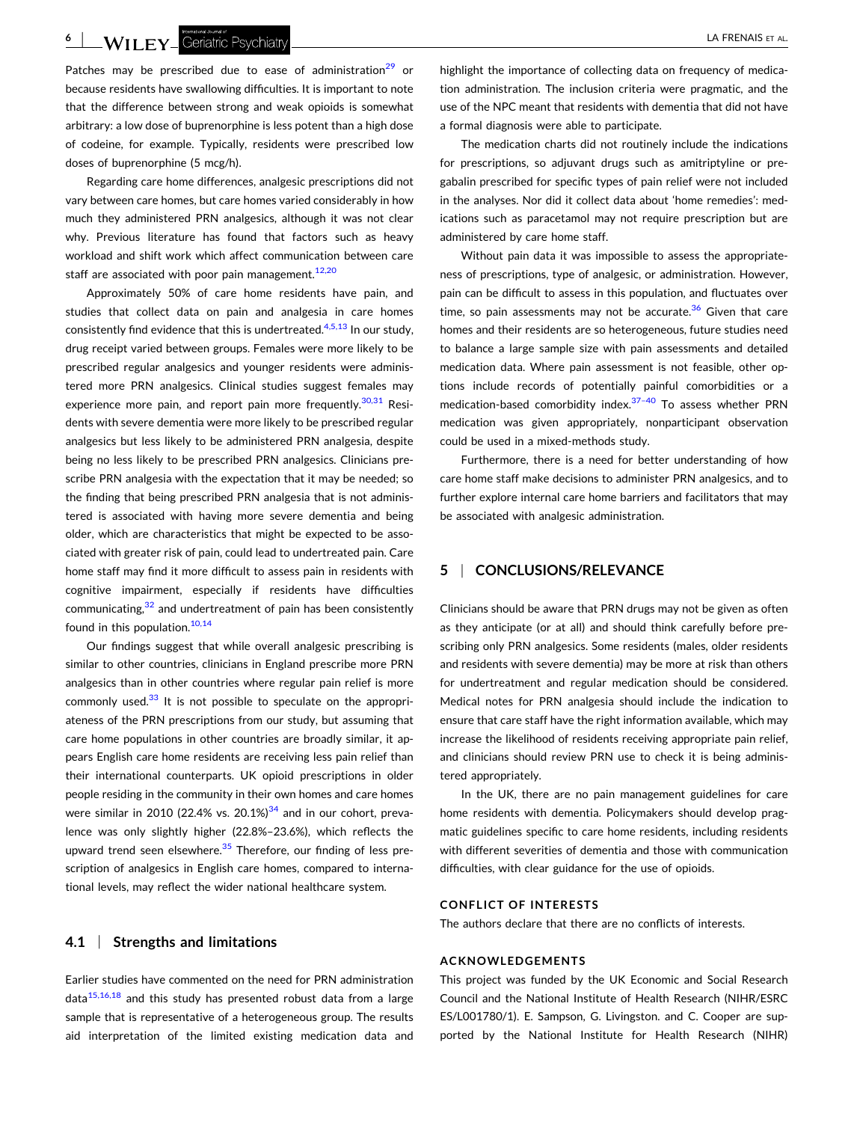**6** | **Will FY** Geriatric Psychiatry **contracts of the Contract of AL. Alternative Contracts of AL. Alternative Contracts of AL. Alternative Contracts of AL. Alternative Contracts of AL. Alternative Contracts of AL. Altern** 

Patches may be prescribed due to ease of administration<sup>[29](#page-7-0)</sup> or because residents have swallowing difficulties. It is important to note that the difference between strong and weak opioids is somewhat arbitrary: a low dose of buprenorphine is less potent than a high dose of codeine, for example. Typically, residents were prescribed low doses of buprenorphine (5 mcg/h).

Regarding care home differences, analgesic prescriptions did not vary between care homes, but care homes varied considerably in how much they administered PRN analgesics, although it was not clear why. Previous literature has found that factors such as heavy workload and shift work which affect communication between care staff are associated with poor pain management. $12,20$ 

Approximately 50% of care home residents have pain, and studies that collect data on pain and analgesia in care homes consistently find evidence that this is undertreated. $4,5,13$  In our study, drug receipt varied between groups. Females were more likely to be prescribed regular analgesics and younger residents were administered more PRN analgesics. Clinical studies suggest females may experience more pain, and report pain more frequently.  $30,31$  Residents with severe dementia were more likely to be prescribed regular analgesics but less likely to be administered PRN analgesia, despite being no less likely to be prescribed PRN analgesics. Clinicians prescribe PRN analgesia with the expectation that it may be needed; so the finding that being prescribed PRN analgesia that is not administered is associated with having more severe dementia and being older, which are characteristics that might be expected to be associated with greater risk of pain, could lead to undertreated pain. Care home staff may find it more difficult to assess pain in residents with cognitive impairment, especially if residents have difficulties communicating, $32$  and undertreatment of pain has been consistently found in this population. $10,14$ 

Our findings suggest that while overall analgesic prescribing is similar to other countries, clinicians in England prescribe more PRN analgesics than in other countries where regular pain relief is more commonly used. $33$  It is not possible to speculate on the appropriateness of the PRN prescriptions from our study, but assuming that care home populations in other countries are broadly similar, it appears English care home residents are receiving less pain relief than their international counterparts. UK opioid prescriptions in older people residing in the community in their own homes and care homes were similar in 2010 (22.4% vs. 20.1%) $34$  and in our cohort, prevalence was only slightly higher (22.8%–23.6%), which reflects the upward trend seen elsewhere.<sup>[35](#page-7-0)</sup> Therefore, our finding of less prescription of analgesics in English care homes, compared to international levels, may reflect the wider national healthcare system.

#### **4.1** <sup>|</sup> **Strengths and limitations**

Earlier studies have commented on the need for PRN administration  $data^{15,16,18}$  $data^{15,16,18}$  $data^{15,16,18}$  and this study has presented robust data from a large sample that is representative of a heterogeneous group. The results aid interpretation of the limited existing medication data and highlight the importance of collecting data on frequency of medication administration. The inclusion criteria were pragmatic, and the use of the NPC meant that residents with dementia that did not have a formal diagnosis were able to participate.

The medication charts did not routinely include the indications for prescriptions, so adjuvant drugs such as amitriptyline or pregabalin prescribed for specific types of pain relief were not included in the analyses. Nor did it collect data about 'home remedies': medications such as paracetamol may not require prescription but are administered by care home staff.

Without pain data it was impossible to assess the appropriateness of prescriptions, type of analgesic, or administration. However, pain can be difficult to assess in this population, and fluctuates over time, so pain assessments may not be accurate. $36$  Given that care homes and their residents are so heterogeneous, future studies need to balance a large sample size with pain assessments and detailed medication data. Where pain assessment is not feasible, other options include records of potentially painful comorbidities or a medication-based comorbidity index.<sup>37-40</sup> To assess whether PRN medication was given appropriately, nonparticipant observation could be used in a mixed‐methods study.

Furthermore, there is a need for better understanding of how care home staff make decisions to administer PRN analgesics, and to further explore internal care home barriers and facilitators that may be associated with analgesic administration.

# **5** <sup>|</sup> **CONCLUSIONS/RELEVANCE**

Clinicians should be aware that PRN drugs may not be given as often as they anticipate (or at all) and should think carefully before prescribing only PRN analgesics. Some residents (males, older residents and residents with severe dementia) may be more at risk than others for undertreatment and regular medication should be considered. Medical notes for PRN analgesia should include the indication to ensure that care staff have the right information available, which may increase the likelihood of residents receiving appropriate pain relief, and clinicians should review PRN use to check it is being administered appropriately.

In the UK, there are no pain management guidelines for care home residents with dementia. Policymakers should develop pragmatic guidelines specific to care home residents, including residents with different severities of dementia and those with communication difficulties, with clear guidance for the use of opioids.

#### **CONFLICT OF INTERESTS**

The authors declare that there are no conflicts of interests.

#### **ACKNOWLEDGEMENTS**

This project was funded by the UK Economic and Social Research Council and the National Institute of Health Research (NIHR/ESRC ES/L001780/1). E. Sampson, G. Livingston. and C. Cooper are supported by the National Institute for Health Research (NIHR)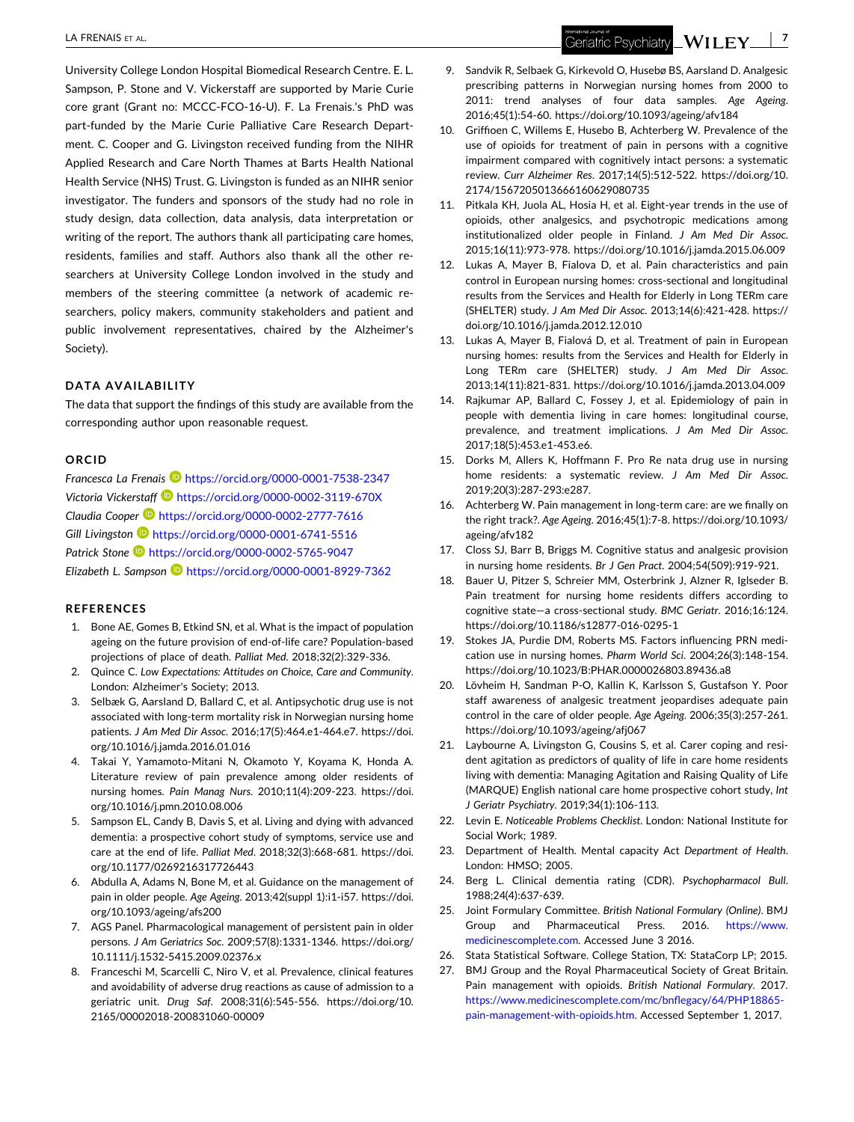<span id="page-6-0"></span>University College London Hospital Biomedical Research Centre. E. L. Sampson, P. Stone and V. Vickerstaff are supported by Marie Curie core grant (Grant no: MCCC‐FCO‐16‐U). F. La Frenais.'s PhD was part-funded by the Marie Curie Palliative Care Research Department. C. Cooper and G. Livingston received funding from the NIHR Applied Research and Care North Thames at Barts Health National Health Service (NHS) Trust. G. Livingston is funded as an NIHR senior investigator. The funders and sponsors of the study had no role in study design, data collection, data analysis, data interpretation or writing of the report. The authors thank all participating care homes, residents, families and staff. Authors also thank all the other researchers at University College London involved in the study and members of the steering committee (a network of academic researchers, policy makers, community stakeholders and patient and public involvement representatives, chaired by the Alzheimer's Society).

#### **DATA AVAILABILITY**

The data that support the findings of this study are available from the corresponding author upon reasonable request.

## **ORCID**

*Francesca La Frenais* <https://orcid.org/0000-0001-7538-2347> *Victoria Vickerstaff* <https://orcid.org/0000-0002-3119-670X> *Claudia Cooper* <https://orcid.org/0000-0002-2777-7616> *Gill Livingston* <https://orcid.org/0000-0001-6741-5516> *Patrick Stone* <https://orcid.org/0000-0002-5765-9047> *Elizabeth L. Sampson* <https://orcid.org/0000-0001-8929-7362>

#### **REFERENCES**

- 1. Bone AE, Gomes B, Etkind SN, et al. What is the impact of population ageing on the future provision of end‐of‐life care? Population‐based projections of place of death. *Palliat Med*. 2018;32(2):329‐336.
- 2. Quince C. *Low Expectations: Attitudes on Choice, Care and Community*. London: Alzheimer's Society; 2013.
- 3. Selbæk G, Aarsland D, Ballard C, et al. Antipsychotic drug use is not associated with long‐term mortality risk in Norwegian nursing home patients. *J Am Med Dir Assoc*. 2016;17(5):464.e1‐464.e7. [https://doi.](https://doi.org/10.1016/j.jamda.2016.01.016) [org/10.1016/j.jamda.2016.01.016](https://doi.org/10.1016/j.jamda.2016.01.016)
- 4. Takai Y, Yamamoto‐Mitani N, Okamoto Y, Koyama K, Honda A. Literature review of pain prevalence among older residents of nursing homes. *Pain Manag Nurs*. 2010;11(4):209‐223. [https://doi.](https://doi.org/10.1016/j.pmn.2010.08.006) [org/10.1016/j.pmn.2010.08.006](https://doi.org/10.1016/j.pmn.2010.08.006)
- 5. Sampson EL, Candy B, Davis S, et al. Living and dying with advanced dementia: a prospective cohort study of symptoms, service use and care at the end of life. *Palliat Med*. 2018;32(3):668‐681. [https://doi.](https://doi.org/10.1177/0269216317726443) [org/10.1177/0269216317726443](https://doi.org/10.1177/0269216317726443)
- 6. Abdulla A, Adams N, Bone M, et al. Guidance on the management of pain in older people. *Age Ageing*. 2013;42(suppl 1):i1‐i57. [https://doi.](https://doi.org/10.1093/ageing/afs200) [org/10.1093/ageing/afs200](https://doi.org/10.1093/ageing/afs200)
- 7. AGS Panel. Pharmacological management of persistent pain in older persons. *J Am Geriatrics Soc*. 2009;57(8):1331‐1346. [https://doi.org/](https://doi.org/10.1111/j.1532-5415.2009.02376.x) 10.1111/j.1532‐[5415.2009.02376.x](https://doi.org/10.1111/j.1532-5415.2009.02376.x)
- 8. Franceschi M, Scarcelli C, Niro V, et al. Prevalence, clinical features and avoidability of adverse drug reactions as cause of admission to a geriatric unit. *Drug Saf*. 2008;31(6):545‐556. [https://doi.org/10.](https://doi.org/10.2165/00002018-200831060-00009) [2165/00002018](https://doi.org/10.2165/00002018-200831060-00009)‐200831060‐00009
- 9. Sandvik R, Selbaek G, Kirkevold O, Husebø BS, Aarsland D. Analgesic prescribing patterns in Norwegian nursing homes from 2000 to 2011: trend analyses of four data samples. *Age Ageing*. 2016;45(1):54‐60. <https://doi.org/10.1093/ageing/afv184>
- 10. Griffioen C, Willems E, Husebo B, Achterberg W. Prevalence of the use of opioids for treatment of pain in persons with a cognitive impairment compared with cognitively intact persons: a systematic review. *Curr Alzheimer Res*. 2017;14(5):512‐522. [https://doi.org/10.](https://doi.org/10.2174/1567205013666160629080735) [2174/1567205013666160629080735](https://doi.org/10.2174/1567205013666160629080735)
- 11. Pitkala KH, Juola AL, Hosia H, et al. Eight‐year trends in the use of opioids, other analgesics, and psychotropic medications among institutionalized older people in Finland. *J Am Med Dir Assoc*. 2015;16(11):973‐978. <https://doi.org/10.1016/j.jamda.2015.06.009>
- 12. Lukas A, Mayer B, Fialova D, et al. Pain characteristics and pain control in European nursing homes: cross‐sectional and longitudinal results from the Services and Health for Elderly in Long TERm care (SHELTER) study. *J Am Med Dir Assoc*. 2013;14(6):421‐428. [https://](https://doi.org/10.1016/j.jamda.2012.12.010) [doi.org/10.1016/j.jamda.2012.12.010](https://doi.org/10.1016/j.jamda.2012.12.010)
- 13. Lukas A, Mayer B, Fialová D, et al. Treatment of pain in European nursing homes: results from the Services and Health for Elderly in Long TERm care (SHELTER) study. *J Am Med Dir Assoc*. 2013;14(11):821‐831. <https://doi.org/10.1016/j.jamda.2013.04.009>
- 14. Rajkumar AP, Ballard C, Fossey J, et al. Epidemiology of pain in people with dementia living in care homes: longitudinal course, prevalence, and treatment implications. *J Am Med Dir Assoc*. 2017;18(5):453.e1‐453.e6.
- 15. Dorks M, Allers K, Hoffmann F. Pro Re nata drug use in nursing home residents: a systematic review. *J Am Med Dir Assoc*. 2019;20(3):287‐293:e287.
- 16. Achterberg W. Pain management in long-term care: are we finally on the right track?. *Age Ageing*. 2016;45(1):7‐8. [https://doi.org/10.1093/](https://doi.org/10.1093/ageing/afv182) [ageing/afv182](https://doi.org/10.1093/ageing/afv182)
- 17. Closs SJ, Barr B, Briggs M. Cognitive status and analgesic provision in nursing home residents. *Br J Gen Pract*. 2004;54(509):919‐921.
- 18. Bauer U, Pitzer S, Schreier MM, Osterbrink J, Alzner R, Iglseder B. Pain treatment for nursing home residents differs according to cognitive state—a cross‐sectional study. *BMC Geriatr*. 2016;16:124. [https://doi.org/10.1186/s12877](https://doi.org/10.1186/s12877-016-0295-1)‐016‐0295‐1
- 19. Stokes JA, Purdie DM, Roberts MS. Factors influencing PRN medication use in nursing homes. *Pharm World Sci*. 2004;26(3):148‐154. <https://doi.org/10.1023/B:PHAR.0000026803.89436.a8>
- 20. Lövheim H, Sandman P‐O, Kallin K, Karlsson S, Gustafson Y. Poor staff awareness of analgesic treatment jeopardises adequate pain control in the care of older people. *Age Ageing*. 2006;35(3):257‐261. <https://doi.org/10.1093/ageing/afj067>
- 21. Laybourne A, Livingston G, Cousins S, et al. Carer coping and resident agitation as predictors of quality of life in care home residents living with dementia: Managing Agitation and Raising Quality of Life (MARQUE) English national care home prospective cohort study, *Int J Geriatr Psychiatry*. 2019;34(1):106‐113.
- 22. Levin E. *Noticeable Problems Checklist*. London: National Institute for Social Work; 1989.
- 23. Department of Health. Mental capacity Act *Department of Health*. London: HMSO; 2005.
- 24. Berg L. Clinical dementia rating (CDR). *Psychopharmacol Bull*. 1988;24(4):637‐639.
- 25. Joint Formulary Committee. *British National Formulary (Online)*. BMJ Group and Pharmaceutical Press. 2016. [https://www.](https://www.medicinescomplete.com) [medicinescomplete.com](https://www.medicinescomplete.com). Accessed June 3 2016.
- 26. Stata Statistical Software. College Station, TX: StataCorp LP; 2015.
- 27. BMJ Group and the Royal Pharmaceutical Society of Great Britain. Pain management with opioids. *British National Formulary*. 2017. [https://www.medicinescomplete.com/mc/bnflegacy/64/PHP18865](https://www.medicinescomplete.com/mc/bnflegacy/64/PHP18865-pain-management-with-opioids.htm)‐ pain-[management](https://www.medicinescomplete.com/mc/bnflegacy/64/PHP18865-pain-management-with-opioids.htm)-with-opioids.htm. Accessed September 1, 2017.